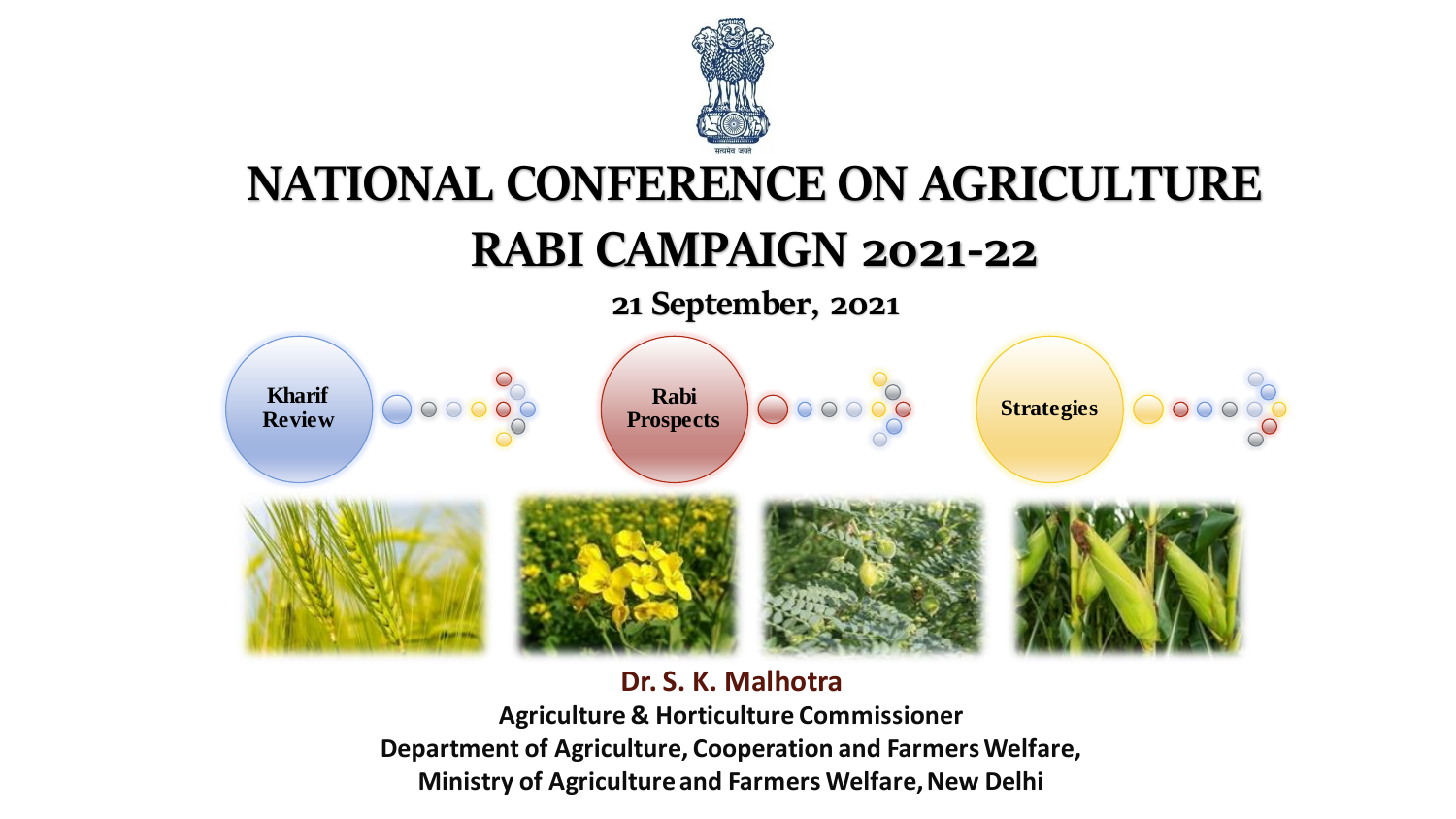

# **NATIONAL CONFERENCE ON AGRICULTURE**

### **RABI CAMPAIGN 2021-22**

**21 September, 2021**



#### **Dr. S. K. Malhotra**

**Agriculture & Horticulture Commissioner Department of Agriculture, Cooperation and Farmers Welfare, Ministry of Agriculture and Farmers Welfare, New Delhi**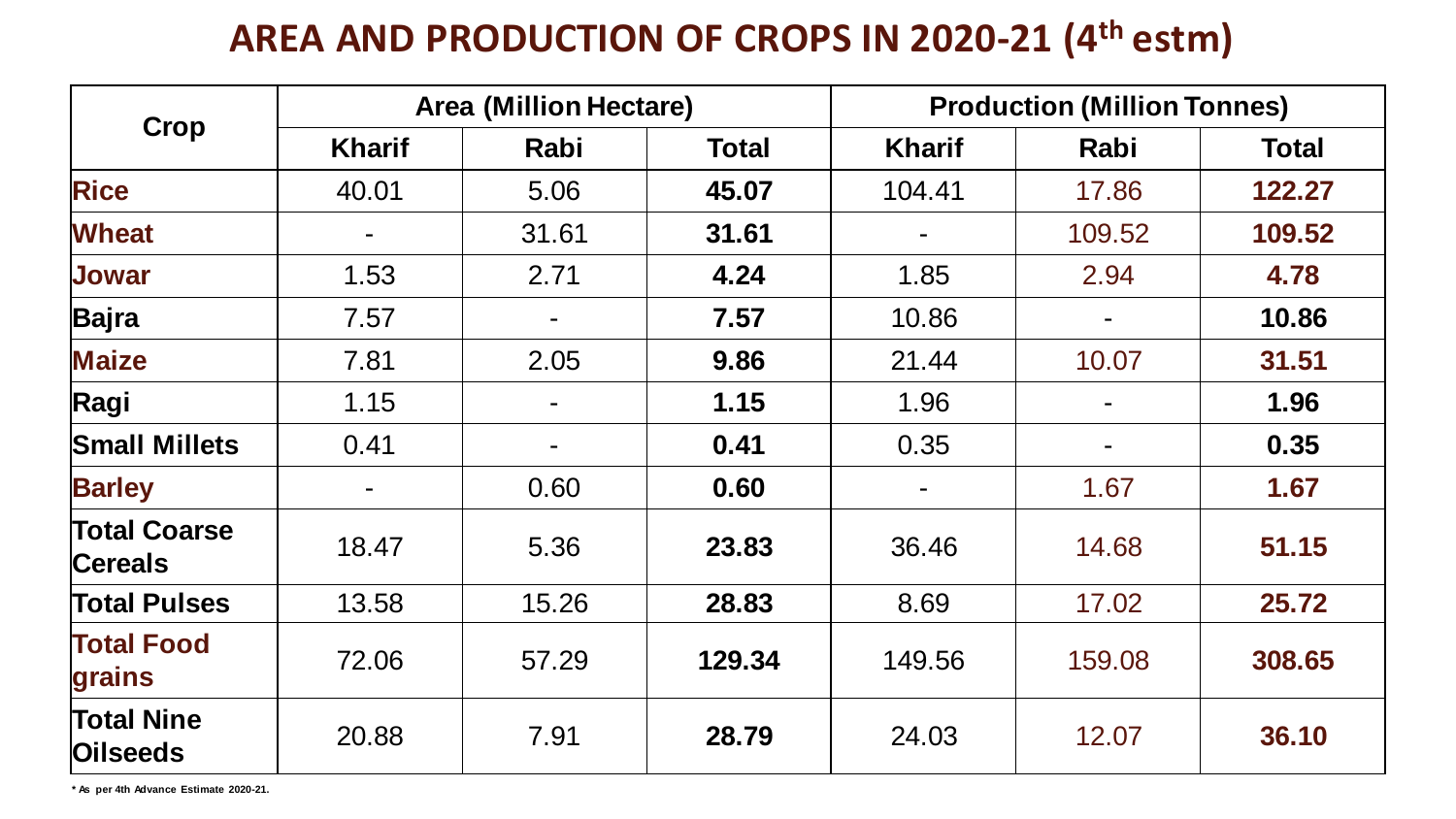#### **AREA AND PRODUCTION OF CROPS IN 2020-21 (4th estm)**

| <b>Crop</b>                           | <b>Area (Million Hectare)</b> |                |              | <b>Production (Million Tonnes)</b> |        |              |
|---------------------------------------|-------------------------------|----------------|--------------|------------------------------------|--------|--------------|
|                                       | <b>Kharif</b>                 | Rabi           | <b>Total</b> | <b>Kharif</b>                      | Rabi   | <b>Total</b> |
| <b>Rice</b>                           | 40.01                         | 5.06           | 45.07        | 104.41                             | 17.86  | 122.27       |
| <b>Wheat</b>                          |                               | 31.61          | 31.61        |                                    | 109.52 | 109.52       |
| <b>Jowar</b>                          | 1.53                          | 2.71           | 4.24         | 1.85                               | 2.94   | 4.78         |
| Bajra                                 | 7.57                          |                | 7.57         | 10.86                              |        | 10.86        |
| <b>Maize</b>                          | 7.81                          | 2.05           | 9.86         | 21.44                              | 10.07  | 31.51        |
| Ragi                                  | 1.15                          | $\overline{a}$ | 1.15         | 1.96                               |        | 1.96         |
| <b>Small Millets</b>                  | 0.41                          |                | 0.41         | 0.35                               |        | 0.35         |
| <b>Barley</b>                         |                               | 0.60           | 0.60         | $\blacksquare$                     | 1.67   | 1.67         |
| <b>Total Coarse</b><br><b>Cereals</b> | 18.47                         | 5.36           | 23.83        | 36.46                              | 14.68  | 51.15        |
| <b>Total Pulses</b>                   | 13.58                         | 15.26          | 28.83        | 8.69                               | 17.02  | 25.72        |
| <b>Total Food</b><br>grains           | 72.06                         | 57.29          | 129.34       | 149.56                             | 159.08 | 308.65       |
| <b>Total Nine</b><br><b>Oilseeds</b>  | 20.88                         | 7.91           | 28.79        | 24.03                              | 12.07  | 36.10        |

**\* As per 4th Advance Estimate 2020-21.**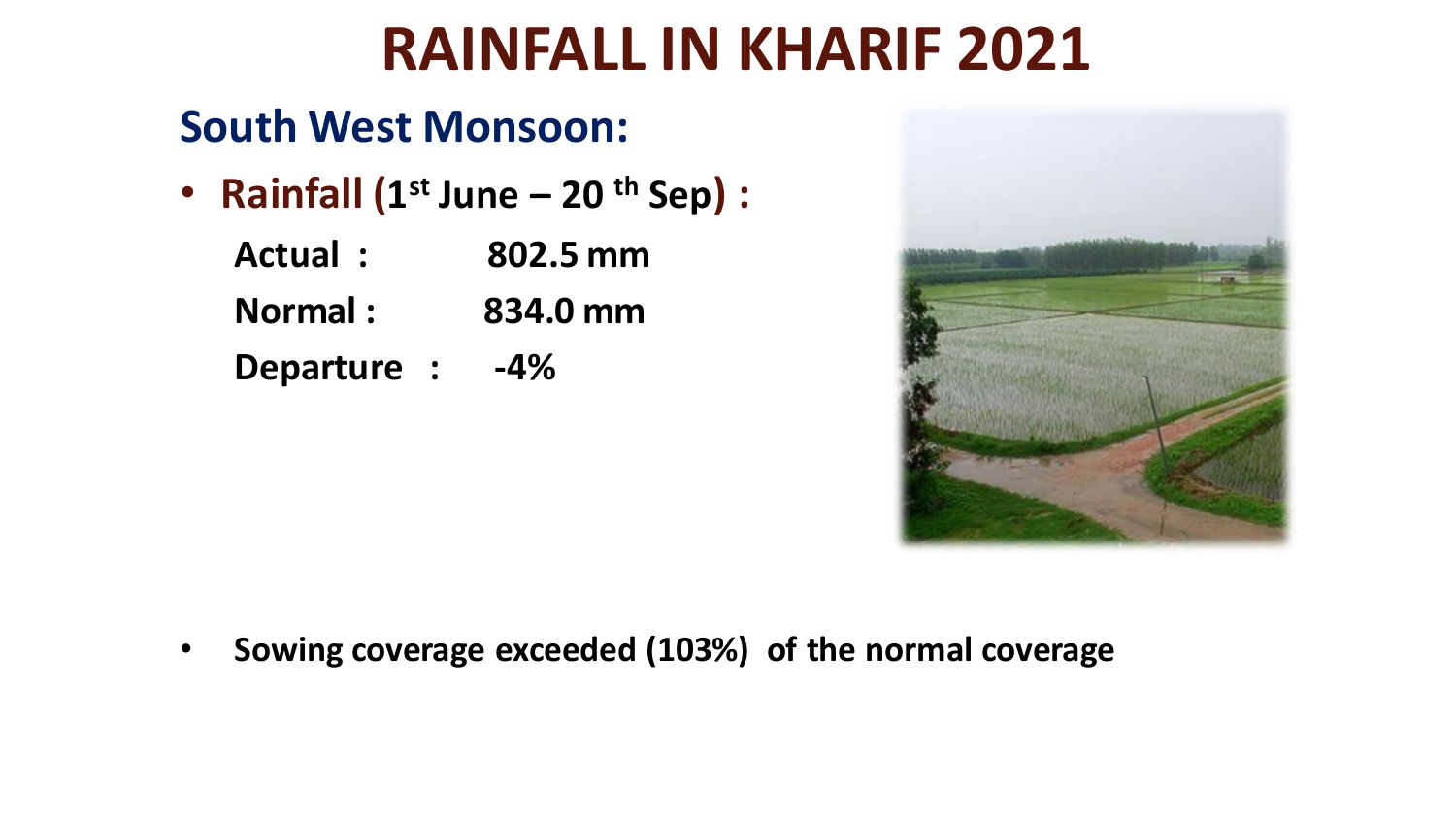# **RAINFALL IN KHARIF 2021**

### **South West Monsoon:**

• **Rainfall (1 st June – 20 th Sep) :**

| Actual:        | 802.5 mm |
|----------------|----------|
| <b>Normal:</b> | 834.0 mm |
| Departure :    | $-4\%$   |



• **Sowing coverage exceeded (103%) of the normal coverage**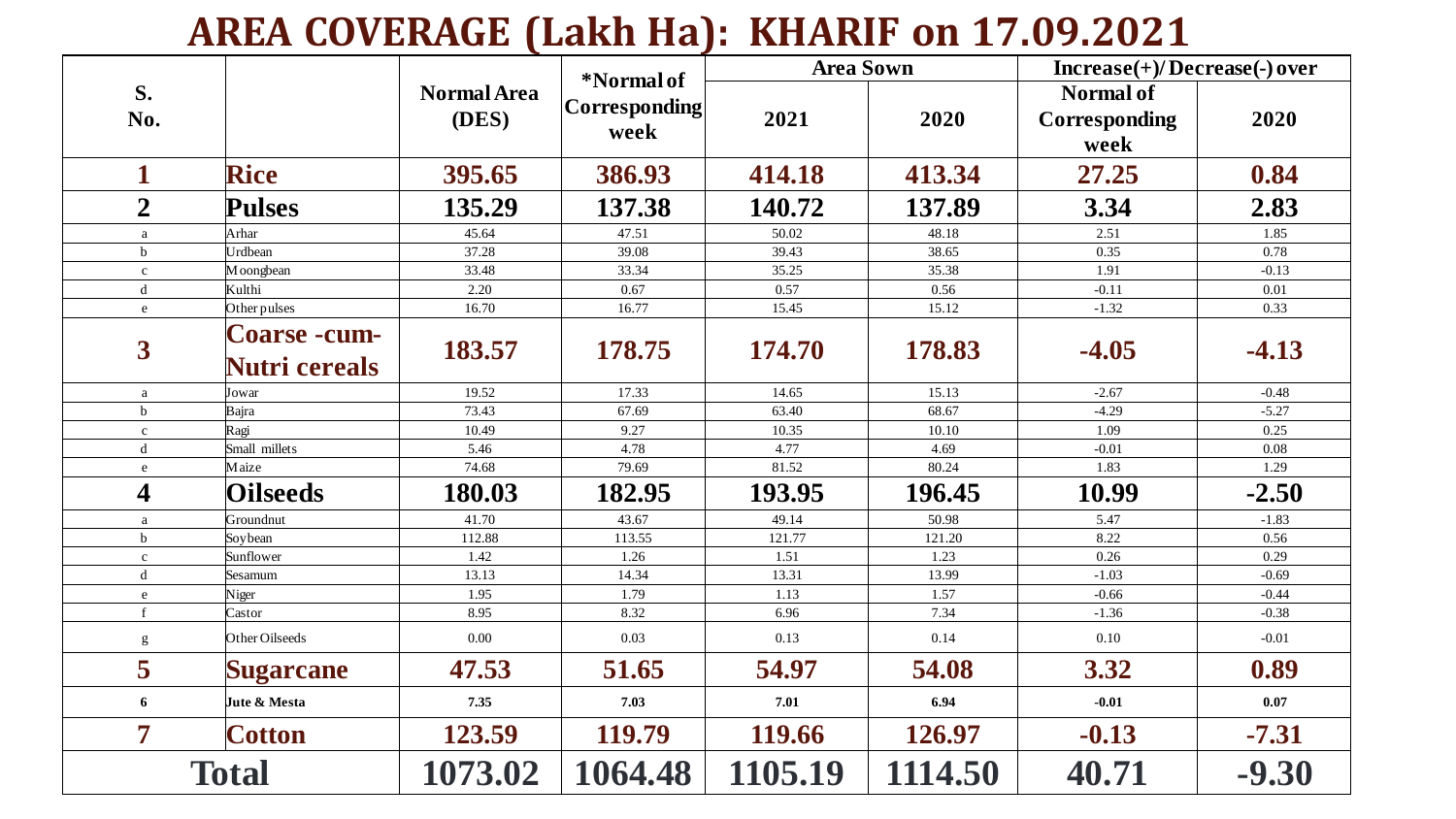### **AREA COVERAGE (Lakh Ha): KHARIF on 17.09.2021**

|                         |                                      |                    |                        | <b>Area Sown</b> |         | $Increase(+) / Decrease(-) over$ |         |
|-------------------------|--------------------------------------|--------------------|------------------------|------------------|---------|----------------------------------|---------|
| S.                      |                                      | <b>Normal Area</b> | *Normal of             |                  |         | Normal of                        |         |
| No.                     |                                      | (DES)              | Corresponding <br>week | 2021             | 2020    | <b>Corresponding</b>             | 2020    |
|                         |                                      |                    |                        |                  |         | week                             |         |
| $\mathbf 1$             | <b>Rice</b>                          | 395.65             | 386.93                 | 414.18           | 413.34  | 27.25                            | 0.84    |
| $\overline{2}$          | <b>Pulses</b>                        | 135.29             | 137.38                 | 140.72           | 137.89  | 3.34                             | 2.83    |
| a                       | Arhar                                | 45.64              | 47.51                  | 50.02            | 48.18   | 2.51                             | 1.85    |
| $\mathbf b$             | Urdbean                              | 37.28              | 39.08                  | 39.43            | 38.65   | 0.35                             | 0.78    |
| $\mathbf{c}$            | Moongbean                            | 33.48              | 33.34                  | 35.25            | 35.38   | 1.91                             | $-0.13$ |
| $\mathbf d$             | Kulthi                               | 2.20               | 0.67                   | 0.57             | 0.56    | $-0.11$                          | 0.01    |
| $\mathbf{e}$            | Other pulses                         | 16.70              | 16.77                  | 15.45            | 15.12   | $-1.32$                          | 0.33    |
| $\overline{\mathbf{3}}$ | Coarse -cum-<br><b>Nutri cereals</b> | 183.57             | 178.75                 | 174.70           | 178.83  | $-4.05$                          | $-4.13$ |
| a                       | Jowar                                | 19.52              | 17.33                  | 14.65            | 15.13   | $-2.67$                          | $-0.48$ |
| $\mathbf b$             | Bajra                                | 73.43              | 67.69                  | 63.40            | 68.67   | $-4.29$                          | $-5.27$ |
| $\mathbf c$             | Ragi                                 | 10.49              | 9.27                   | 10.35            | 10.10   | 1.09                             | 0.25    |
| $\mathbf d$             | Small millets                        | 5.46               | 4.78                   | 4.77             | 4.69    | $-0.01$                          | 0.08    |
| ${\rm e}$               | Maize                                | 74.68              | 79.69                  | 81.52            | 80.24   | 1.83                             | 1.29    |
| $\overline{\mathbf{4}}$ | <b>Oilseeds</b>                      | 180.03             | 182.95                 | 193.95           | 196.45  | 10.99                            | $-2.50$ |
| a                       | Groundnut                            | 41.70              | 43.67                  | 49.14            | 50.98   | 5.47                             | $-1.83$ |
| $\mathbf b$             | Soybean                              | 112.88             | 113.55                 | 121.77           | 121.20  | 8.22                             | 0.56    |
| $\mathbf{c}$            | Sunflower                            | 1.42               | 1.26                   | 1.51             | 1.23    | 0.26                             | 0.29    |
| $\mathbf d$             | Sesamum                              | 13.13              | 14.34                  | 13.31            | 13.99   | $-1.03$                          | $-0.69$ |
| ${\bf e}$               | Niger                                | 1.95               | 1.79                   | 1.13             | 1.57    | $-0.66$                          | $-0.44$ |
| $\mathbf{f}$            | Castor                               | 8.95               | 8.32                   | 6.96             | 7.34    | $-1.36$                          | $-0.38$ |
| g                       | Other Oilseeds                       | $0.00\,$           | 0.03                   | 0.13             | 0.14    | 0.10                             | $-0.01$ |
| 5                       | <b>Sugarcane</b>                     | 47.53              | 51.65                  | 54.97            | 54.08   | 3.32                             | 0.89    |
| 6                       | Jute & Mesta                         | 7.35               | 7.03                   | 7.01             | 6.94    | $-0.01$                          | 0.07    |
| $\overline{7}$          | <b>Cotton</b>                        | 123.59             | 119.79                 | 119.66           | 126.97  | $-0.13$                          | $-7.31$ |
|                         | <b>Total</b>                         | 1073.02            | 1064.48                | 1105.19          | 1114.50 | 40.71                            | $-9.30$ |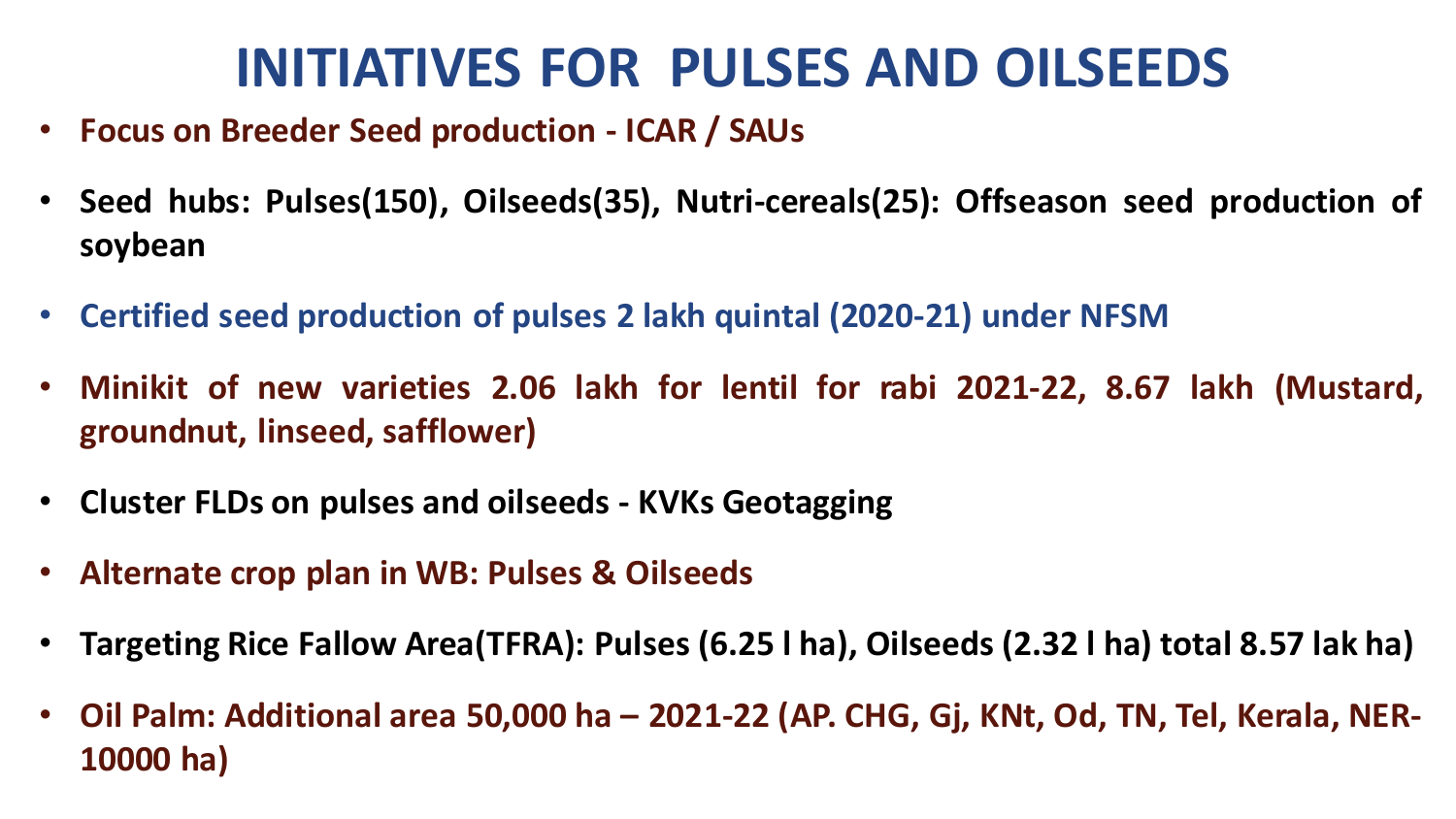# **INITIATIVES FOR PULSES AND OILSEEDS**

- **Focus on Breeder Seed production - ICAR / SAUs**
- **Seed hubs: Pulses(150), Oilseeds(35), Nutri-cereals(25): Offseason seed production of soybean**
- **Certified seed production of pulses 2 lakh quintal (2020-21) under NFSM**
- **Minikit of new varieties 2.06 lakh for lentil for rabi 2021-22, 8.67 lakh (Mustard, groundnut, linseed, safflower)**
- **Cluster FLDs on pulses and oilseeds - KVKs Geotagging**
- **Alternate crop plan in WB: Pulses & Oilseeds**
- **Targeting Rice Fallow Area(TFRA): Pulses (6.25 l ha), Oilseeds (2.32 l ha) total 8.57 lak ha)**
- **Oil Palm: Additional area 50,000 ha – 2021-22 (AP. CHG, Gj, KNt, Od, TN, Tel, Kerala, NER-10000 ha)**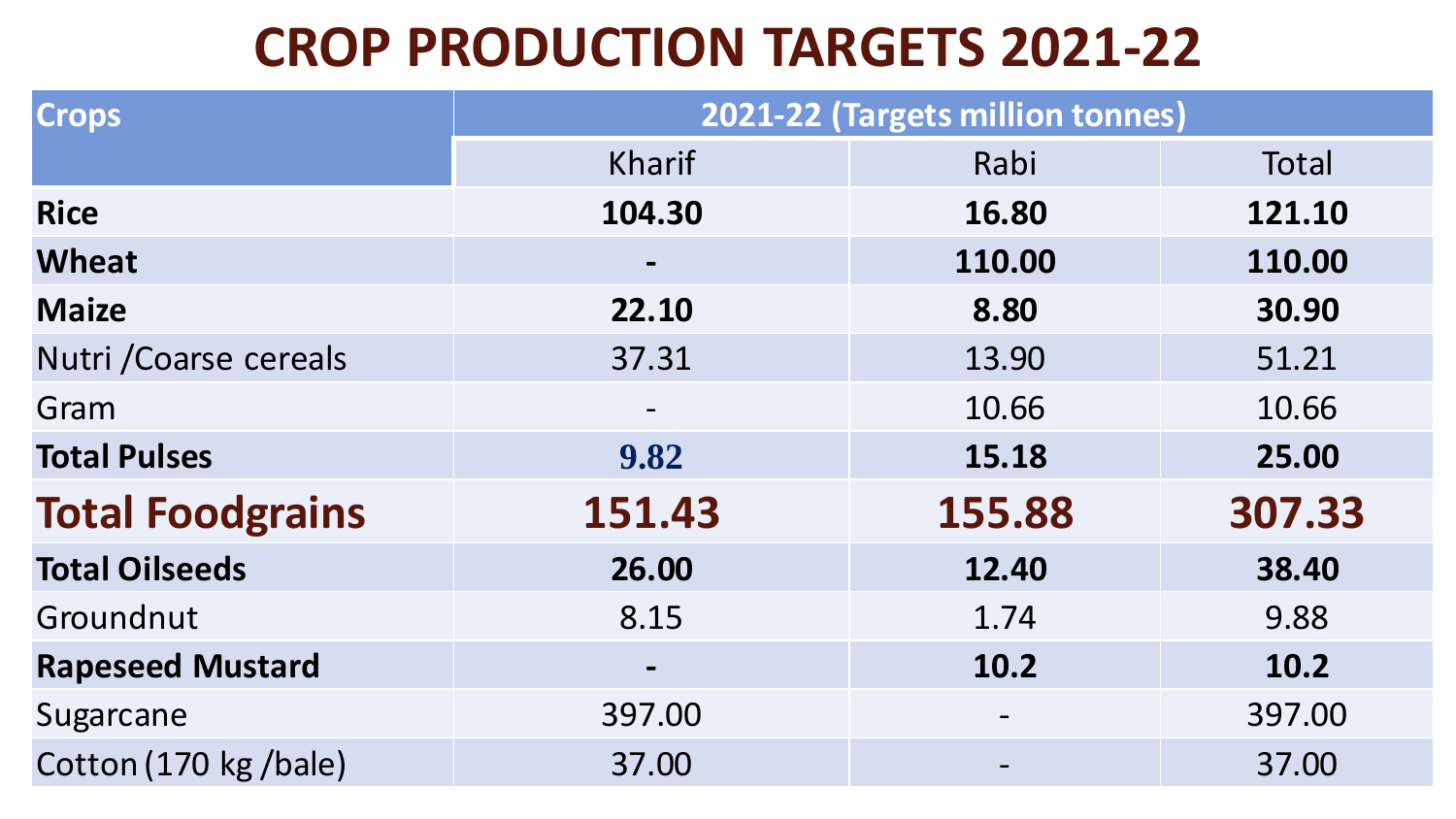# **CROP PRODUCTION TARGETS 2021-22**

| <b>Crops</b>            | 2021-22 (Targets million tonnes)                                                                                                                  |        |        |  |  |
|-------------------------|---------------------------------------------------------------------------------------------------------------------------------------------------|--------|--------|--|--|
|                         | <b>Kharif</b>                                                                                                                                     | Rabi   | Total  |  |  |
| <b>Rice</b>             | 104.30                                                                                                                                            | 16.80  | 121.10 |  |  |
| <b>Wheat</b>            |                                                                                                                                                   | 110.00 | 110.00 |  |  |
| <b>Maize</b>            | 22.10                                                                                                                                             | 8.80   | 30.90  |  |  |
| Nutri / Coarse cereals  | 37.31                                                                                                                                             | 13.90  | 51.21  |  |  |
| Gram                    | $\hskip1.6pt\hskip1.6pt\hskip1.6pt\hskip1.6pt\hskip1.6pt\hskip1.6pt\hskip1.6pt\hskip1.6pt\hskip1.6pt\hskip1.6pt\hskip1.6pt\hskip1.6pt\hskip1.6pt$ | 10.66  | 10.66  |  |  |
| <b>Total Pulses</b>     | 9.82                                                                                                                                              | 15.18  | 25.00  |  |  |
| <b>Total Foodgrains</b> | 151.43                                                                                                                                            | 155.88 | 307.33 |  |  |
| <b>Total Oilseeds</b>   | 26.00                                                                                                                                             | 12.40  | 38.40  |  |  |
| Groundnut               | 8.15                                                                                                                                              | 1.74   | 9.88   |  |  |
| <b>Rapeseed Mustard</b> | $\blacksquare$                                                                                                                                    | 10.2   | 10.2   |  |  |
| Sugarcane               | 397.00                                                                                                                                            |        | 397.00 |  |  |
| Cotton (170 kg /bale)   | 37.00                                                                                                                                             |        | 37.00  |  |  |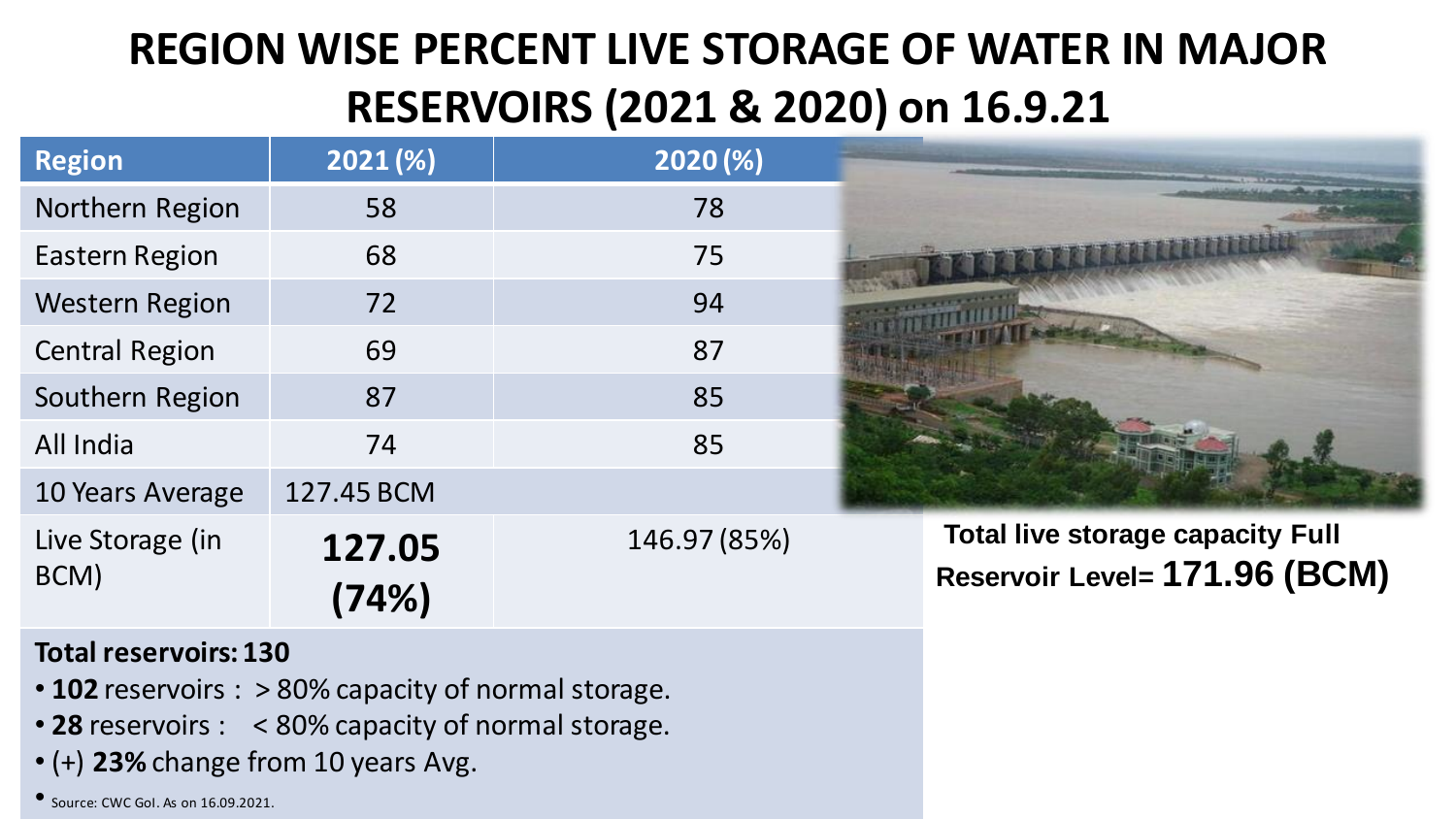## **REGION WISE PERCENT LIVE STORAGE OF WATER IN MAJOR RESERVOIRS (2021 & 2020) on 16.9.21**

| <b>Region</b>            | 2021(%)         | 2020(%)      |                                                                          |
|--------------------------|-----------------|--------------|--------------------------------------------------------------------------|
| Northern Region          | 58              | 78           |                                                                          |
| Eastern Region           | 68              | 75           |                                                                          |
| <b>Western Region</b>    | 72              | 94           |                                                                          |
| <b>Central Region</b>    | 69              | 87           |                                                                          |
| Southern Region          | 87              | 85           |                                                                          |
| All India                | 74              | 85           |                                                                          |
| 10 Years Average         | 127.45 BCM      |              |                                                                          |
| Live Storage (in<br>BCM) | 127.05<br>(74%) | 146.97 (85%) | <b>Total live storage capacity Full</b><br>Reservoir Level= 171.96 (BCM) |

#### **Total reservoirs: 130**

- **102** reservoirs : > 80% capacity of normal storage.
- **28** reservoirs : < 80% capacity of normal storage.
- (+) **23%** change from 10 years Avg.

• Source: CWC GoI. As on 16.09.2021.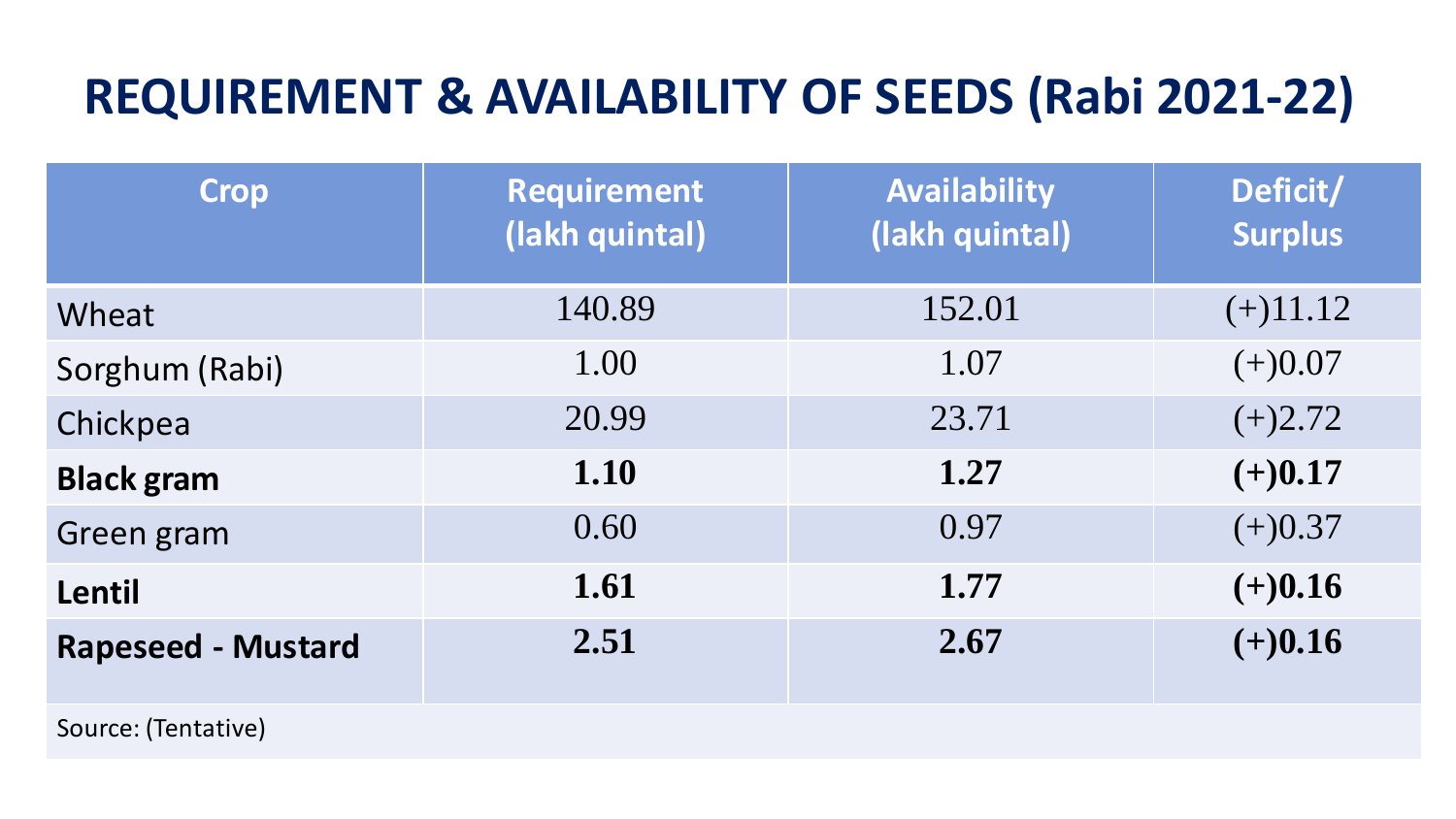# **REQUIREMENT & AVAILABILITY OF SEEDS (Rabi 2021-22)**

| <b>Crop</b>               | <b>Requirement</b><br>(lakh quintal) | <b>Availability</b><br>(lakh quintal) | Deficit/<br><b>Surplus</b> |
|---------------------------|--------------------------------------|---------------------------------------|----------------------------|
| Wheat                     | 140.89                               | 152.01                                | $(+)11.12$                 |
| Sorghum (Rabi)            | 1.00                                 | 1.07                                  | $(+)0.07$                  |
| Chickpea                  | 20.99                                | 23.71                                 | $(+)2.72$                  |
| <b>Black gram</b>         | 1.10                                 | 1.27                                  | $(+)0.17$                  |
| Green gram                | 0.60                                 | 0.97                                  | $(+)0.37$                  |
| Lentil                    | 1.61                                 | 1.77                                  | $(+)0.16$                  |
| <b>Rapeseed - Mustard</b> | 2.51                                 | 2.67                                  | $(+)0.16$                  |
| Source: (Tentative)       |                                      |                                       |                            |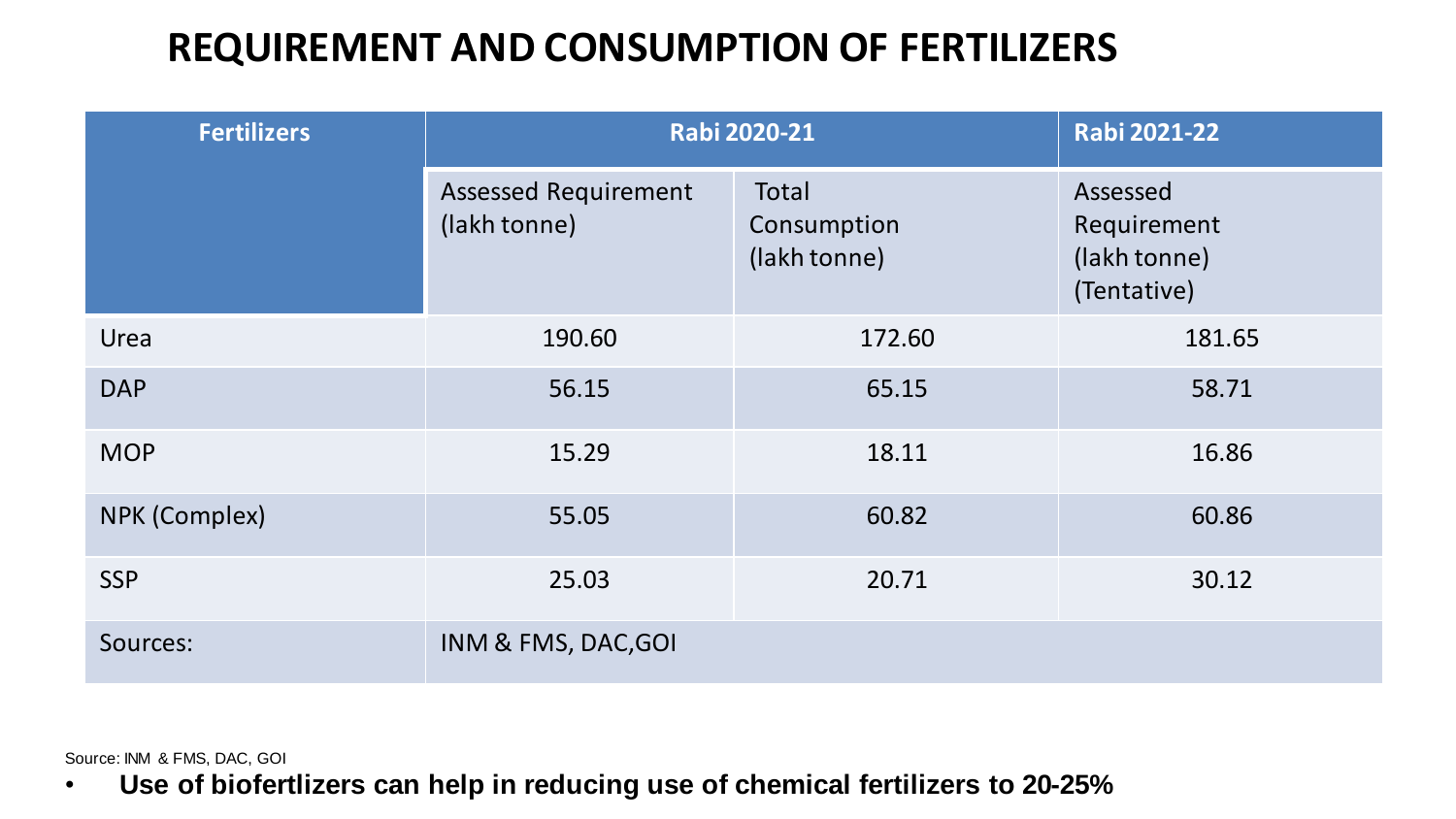### **REQUIREMENT AND CONSUMPTION OF FERTILIZERS**

| <b>Fertilizers</b> | <b>Rabi 2020-21</b>                         | <b>Rabi 2021-22</b>                  |                                                        |
|--------------------|---------------------------------------------|--------------------------------------|--------------------------------------------------------|
|                    | <b>Assessed Requirement</b><br>(lakh tonne) | Total<br>Consumption<br>(lakh tonne) | Assessed<br>Requirement<br>(lakh tonne)<br>(Tentative) |
| Urea               | 190.60                                      | 172.60                               | 181.65                                                 |
| <b>DAP</b>         | 56.15                                       | 65.15                                | 58.71                                                  |
| <b>MOP</b>         | 15.29                                       | 18.11                                | 16.86                                                  |
| NPK (Complex)      | 55.05                                       | 60.82                                | 60.86                                                  |
| <b>SSP</b>         | 25.03                                       | 20.71                                | 30.12                                                  |
| Sources:           | INM & FMS, DAC, GOI                         |                                      |                                                        |

Source: INM & FMS, DAC, GOI

• **Use of biofertlizers can help in reducing use of chemical fertilizers to 20-25%**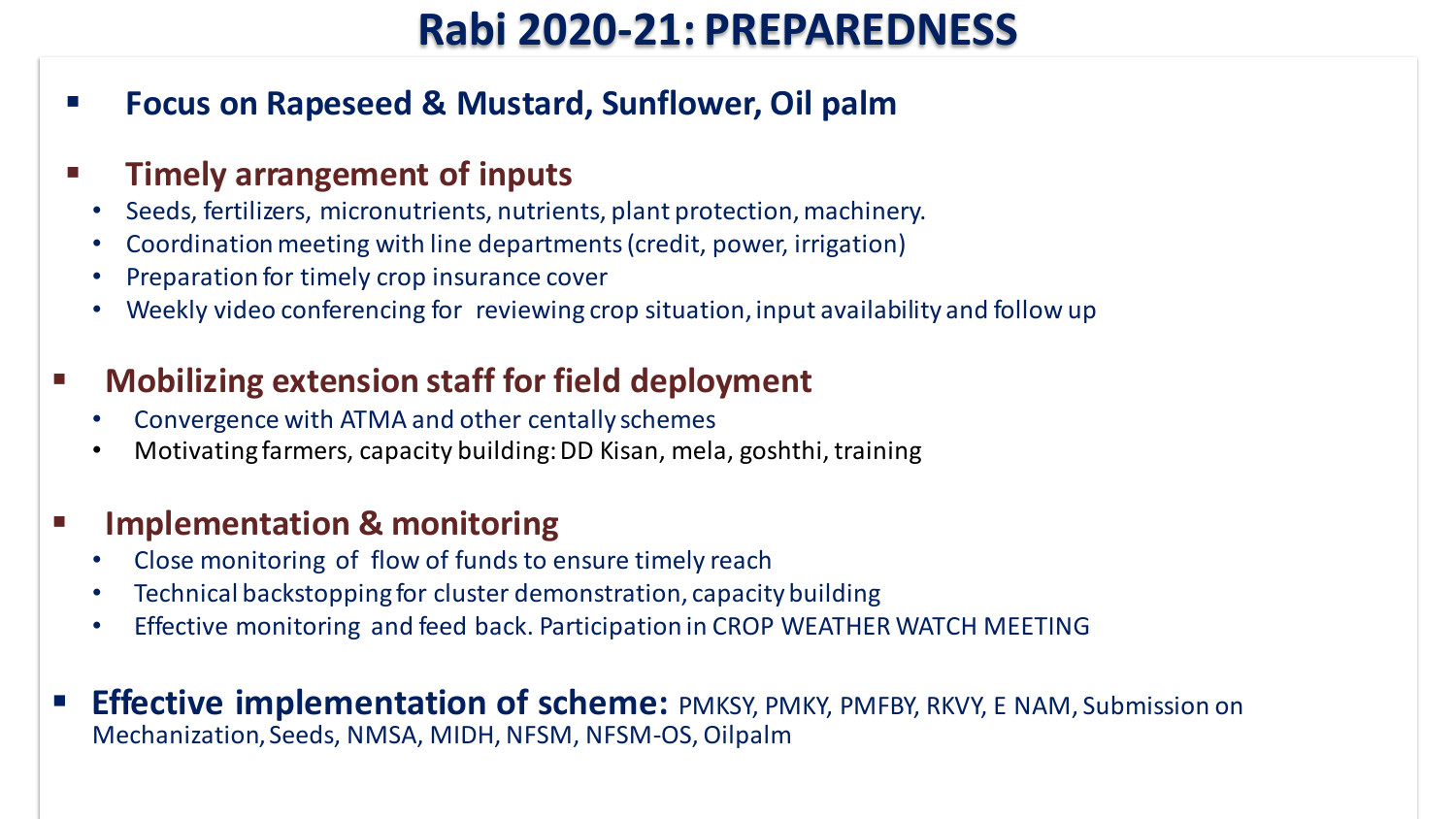### **Rabi 2020-21: PREPAREDNESS**

▪ **Focus on Rapeseed & Mustard, Sunflower, Oil palm**

#### ▪ **Timely arrangement of inputs**

- Seeds, fertilizers, micronutrients, nutrients, plant protection, machinery.
- Coordination meeting with line departments (credit, power, irrigation)
- Preparation for timely crop insurance cover
- Weekly video conferencing for reviewing crop situation, input availability and follow up

#### ▪ **Mobilizing extension staff for field deployment**

- Convergence with ATMA and other centally schemes
- Motivating farmers, capacity building: DD Kisan, mela, goshthi, training

#### **Implementation & monitoring**

- Close monitoring of flow of funds to ensure timely reach
- Technical backstopping for cluster demonstration, capacitybuilding
- Effective monitoring and feed back. Participation in CROP WEATHER WATCH MEETING
- **Effective implementation of scheme:** PMKSY, PMKY, PMFBY, RKVY, E NAM, Submission on Mechanization, Seeds, NMSA, MIDH, NFSM, NFSM-OS, Oilpalm